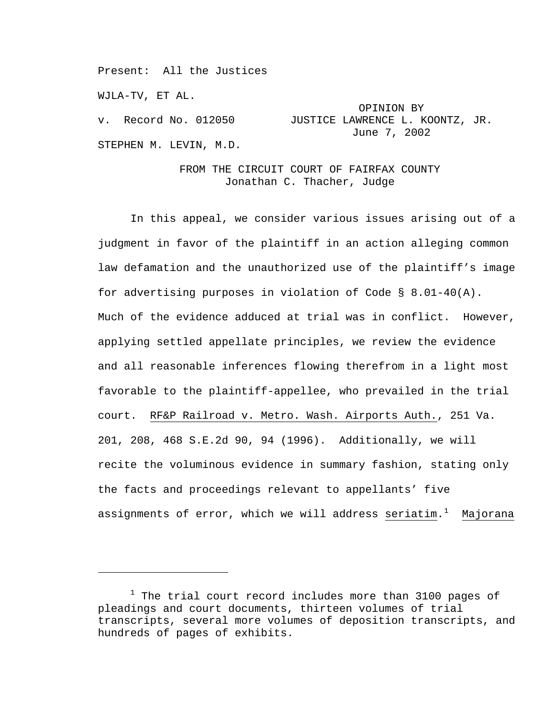Present: All the Justices

WJLA-TV, ET AL.

i<br>Li

 OPINION BY v. Record No. 012050 JUSTICE LAWRENCE L. KOONTZ, JR. June 7, 2002

STEPHEN M. LEVIN, M.D.

# FROM THE CIRCUIT COURT OF FAIRFAX COUNTY Jonathan C. Thacher, Judge

In this appeal, we consider various issues arising out of a judgment in favor of the plaintiff in an action alleging common law defamation and the unauthorized use of the plaintiff's image for advertising purposes in violation of Code § 8.01-40(A). Much of the evidence adduced at trial was in conflict. However, applying settled appellate principles, we review the evidence and all reasonable inferences flowing therefrom in a light most favorable to the plaintiff-appellee, who prevailed in the trial court. RF&P Railroad v. Metro. Wash. Airports Auth., 251 Va. 201, 208, 468 S.E.2d 90, 94 (1996). Additionally, we will recite the voluminous evidence in summary fashion, stating only the facts and proceedings relevant to appellants' five assignments of error, which we will address seriatim.<sup>[1](#page-0-0)</sup> Majorana

<span id="page-0-0"></span> $^1$  The trial court record includes more than 3100 pages of pleadings and court documents, thirteen volumes of trial transcripts, several more volumes of deposition transcripts, and hundreds of pages of exhibits.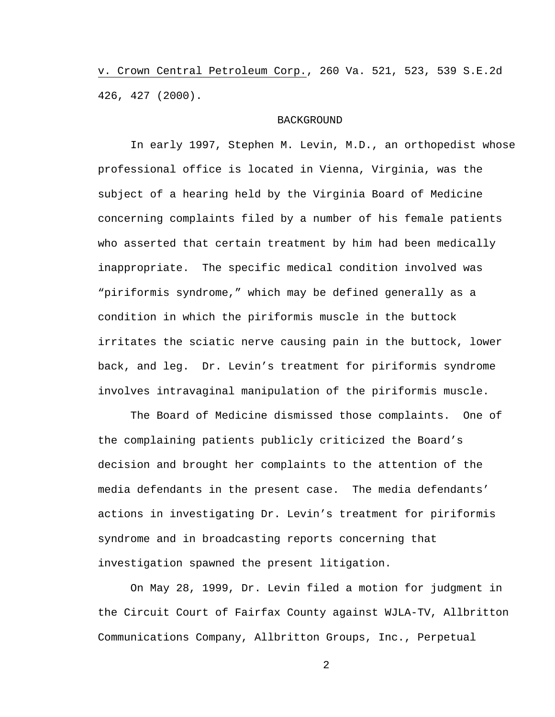v. Crown Central Petroleum Corp., 260 Va. 521, 523, 539 S.E.2d 426, 427 (2000).

#### **BACKGROUND**

In early 1997, Stephen M. Levin, M.D., an orthopedist whose professional office is located in Vienna, Virginia, was the subject of a hearing held by the Virginia Board of Medicine concerning complaints filed by a number of his female patients who asserted that certain treatment by him had been medically inappropriate. The specific medical condition involved was "piriformis syndrome," which may be defined generally as a condition in which the piriformis muscle in the buttock irritates the sciatic nerve causing pain in the buttock, lower back, and leg. Dr. Levin's treatment for piriformis syndrome involves intravaginal manipulation of the piriformis muscle.

The Board of Medicine dismissed those complaints. One of the complaining patients publicly criticized the Board's decision and brought her complaints to the attention of the media defendants in the present case. The media defendants' actions in investigating Dr. Levin's treatment for piriformis syndrome and in broadcasting reports concerning that investigation spawned the present litigation.

On May 28, 1999, Dr. Levin filed a motion for judgment in the Circuit Court of Fairfax County against WJLA-TV, Allbritton Communications Company, Allbritton Groups, Inc., Perpetual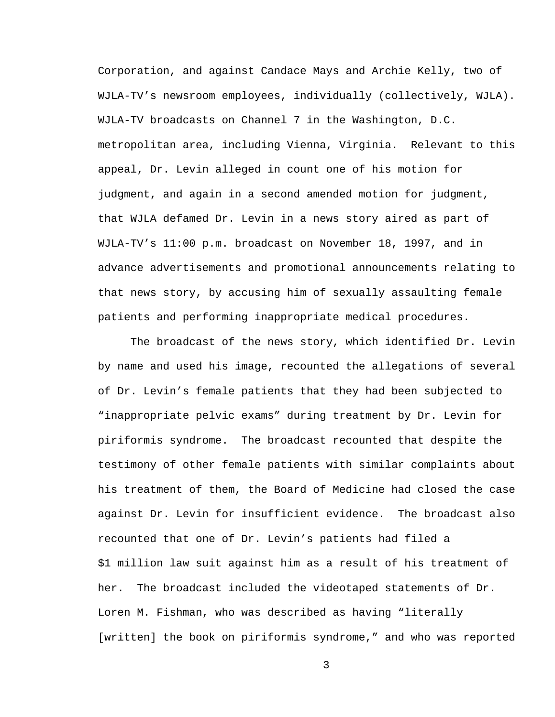Corporation, and against Candace Mays and Archie Kelly, two of WJLA-TV's newsroom employees, individually (collectively, WJLA). WJLA-TV broadcasts on Channel 7 in the Washington, D.C. metropolitan area, including Vienna, Virginia. Relevant to this appeal, Dr. Levin alleged in count one of his motion for judgment, and again in a second amended motion for judgment, that WJLA defamed Dr. Levin in a news story aired as part of WJLA-TV's 11:00 p.m. broadcast on November 18, 1997, and in advance advertisements and promotional announcements relating to that news story, by accusing him of sexually assaulting female patients and performing inappropriate medical procedures.

The broadcast of the news story, which identified Dr. Levin by name and used his image, recounted the allegations of several of Dr. Levin's female patients that they had been subjected to "inappropriate pelvic exams" during treatment by Dr. Levin for piriformis syndrome. The broadcast recounted that despite the testimony of other female patients with similar complaints about his treatment of them, the Board of Medicine had closed the case against Dr. Levin for insufficient evidence. The broadcast also recounted that one of Dr. Levin's patients had filed a \$1 million law suit against him as a result of his treatment of her. The broadcast included the videotaped statements of Dr. Loren M. Fishman, who was described as having "literally [written] the book on piriformis syndrome," and who was reported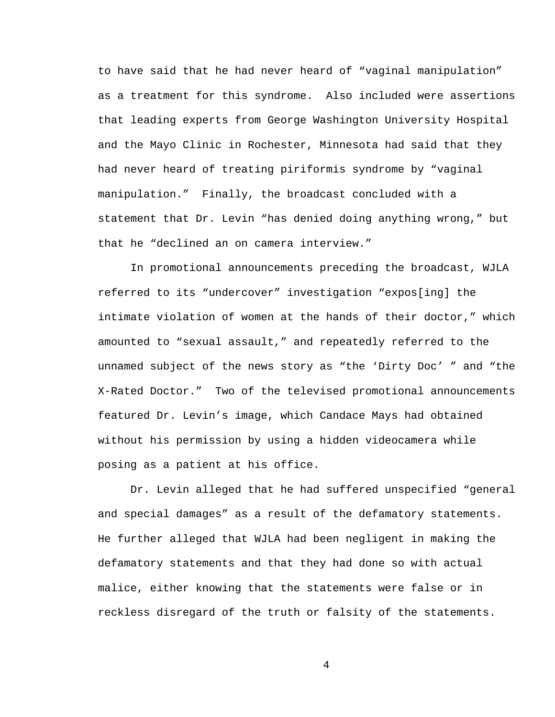to have said that he had never heard of "vaginal manipulation" as a treatment for this syndrome. Also included were assertions that leading experts from George Washington University Hospital and the Mayo Clinic in Rochester, Minnesota had said that they had never heard of treating piriformis syndrome by "vaginal manipulation." Finally, the broadcast concluded with a statement that Dr. Levin "has denied doing anything wrong," but that he "declined an on camera interview."

In promotional announcements preceding the broadcast, WJLA referred to its "undercover" investigation "expos[ing] the intimate violation of women at the hands of their doctor," which amounted to "sexual assault," and repeatedly referred to the unnamed subject of the news story as "the 'Dirty Doc' " and "the X-Rated Doctor." Two of the televised promotional announcements featured Dr. Levin's image, which Candace Mays had obtained without his permission by using a hidden videocamera while posing as a patient at his office.

Dr. Levin alleged that he had suffered unspecified "general and special damages" as a result of the defamatory statements. He further alleged that WJLA had been negligent in making the defamatory statements and that they had done so with actual malice, either knowing that the statements were false or in reckless disregard of the truth or falsity of the statements.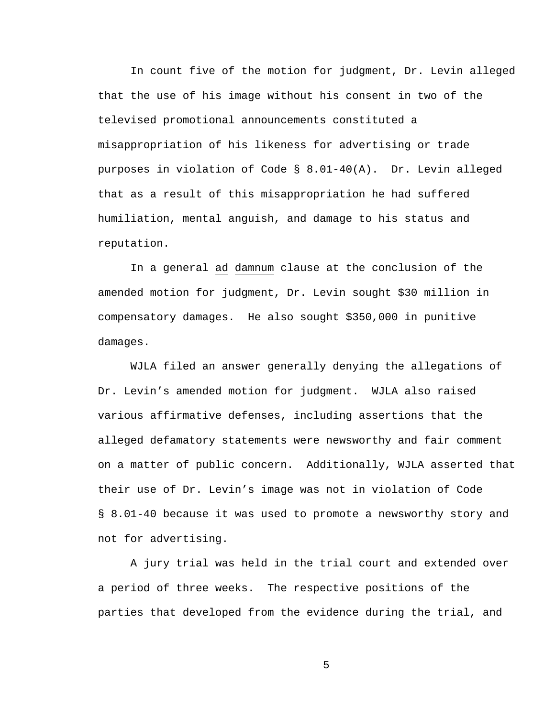In count five of the motion for judgment, Dr. Levin alleged that the use of his image without his consent in two of the televised promotional announcements constituted a misappropriation of his likeness for advertising or trade purposes in violation of Code § 8.01-40(A). Dr. Levin alleged that as a result of this misappropriation he had suffered humiliation, mental anguish, and damage to his status and reputation.

In a general ad damnum clause at the conclusion of the amended motion for judgment, Dr. Levin sought \$30 million in compensatory damages. He also sought \$350,000 in punitive damages.

WJLA filed an answer generally denying the allegations of Dr. Levin's amended motion for judgment. WJLA also raised various affirmative defenses, including assertions that the alleged defamatory statements were newsworthy and fair comment on a matter of public concern. Additionally, WJLA asserted that their use of Dr. Levin's image was not in violation of Code § 8.01-40 because it was used to promote a newsworthy story and not for advertising.

A jury trial was held in the trial court and extended over a period of three weeks. The respective positions of the parties that developed from the evidence during the trial, and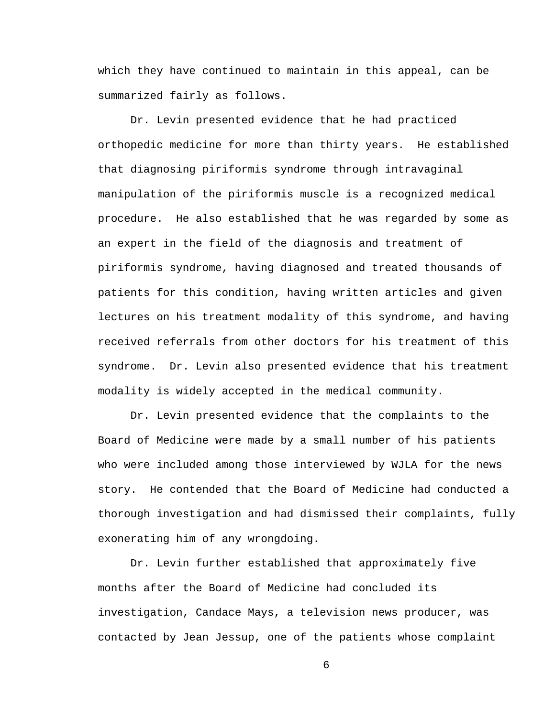which they have continued to maintain in this appeal, can be summarized fairly as follows.

Dr. Levin presented evidence that he had practiced orthopedic medicine for more than thirty years. He established that diagnosing piriformis syndrome through intravaginal manipulation of the piriformis muscle is a recognized medical procedure. He also established that he was regarded by some as an expert in the field of the diagnosis and treatment of piriformis syndrome, having diagnosed and treated thousands of patients for this condition, having written articles and given lectures on his treatment modality of this syndrome, and having received referrals from other doctors for his treatment of this syndrome. Dr. Levin also presented evidence that his treatment modality is widely accepted in the medical community.

Dr. Levin presented evidence that the complaints to the Board of Medicine were made by a small number of his patients who were included among those interviewed by WJLA for the news story. He contended that the Board of Medicine had conducted a thorough investigation and had dismissed their complaints, fully exonerating him of any wrongdoing.

Dr. Levin further established that approximately five months after the Board of Medicine had concluded its investigation, Candace Mays, a television news producer, was contacted by Jean Jessup, one of the patients whose complaint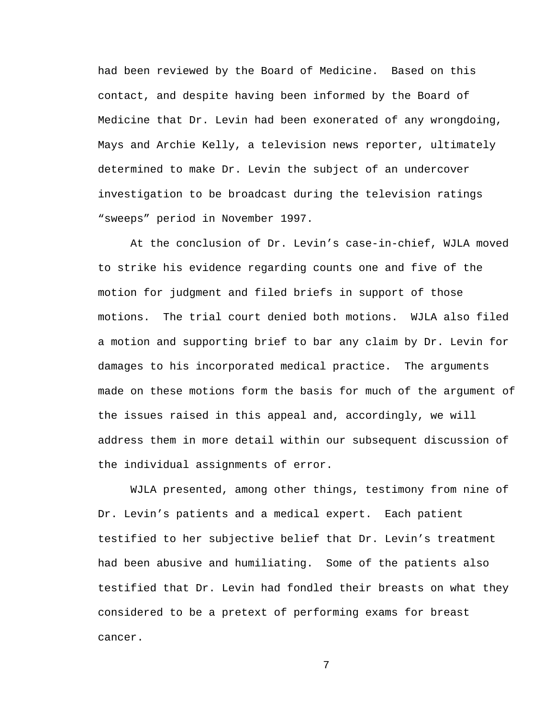had been reviewed by the Board of Medicine. Based on this contact, and despite having been informed by the Board of Medicine that Dr. Levin had been exonerated of any wrongdoing, Mays and Archie Kelly, a television news reporter, ultimately determined to make Dr. Levin the subject of an undercover investigation to be broadcast during the television ratings "sweeps" period in November 1997.

At the conclusion of Dr. Levin's case-in-chief, WJLA moved to strike his evidence regarding counts one and five of the motion for judgment and filed briefs in support of those motions. The trial court denied both motions. WJLA also filed a motion and supporting brief to bar any claim by Dr. Levin for damages to his incorporated medical practice. The arguments made on these motions form the basis for much of the argument of the issues raised in this appeal and, accordingly, we will address them in more detail within our subsequent discussion of the individual assignments of error.

WJLA presented, among other things, testimony from nine of Dr. Levin's patients and a medical expert. Each patient testified to her subjective belief that Dr. Levin's treatment had been abusive and humiliating. Some of the patients also testified that Dr. Levin had fondled their breasts on what they considered to be a pretext of performing exams for breast cancer.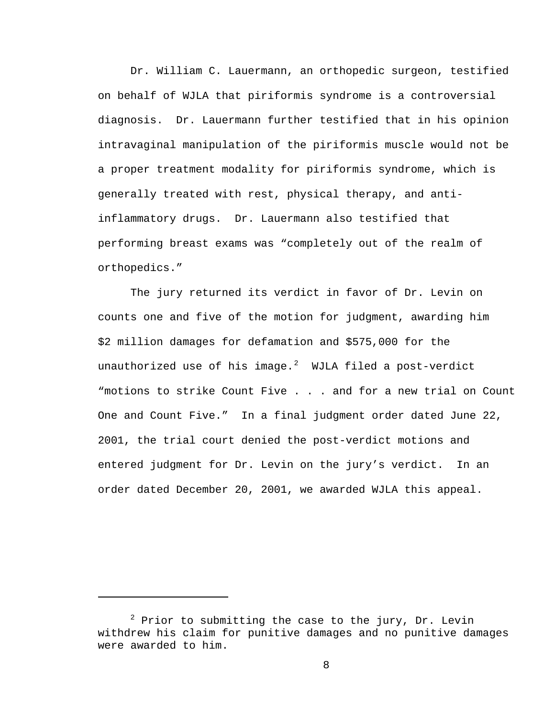Dr. William C. Lauermann, an orthopedic surgeon, testified on behalf of WJLA that piriformis syndrome is a controversial diagnosis. Dr. Lauermann further testified that in his opinion intravaginal manipulation of the piriformis muscle would not be a proper treatment modality for piriformis syndrome, which is generally treated with rest, physical therapy, and antiinflammatory drugs. Dr. Lauermann also testified that performing breast exams was "completely out of the realm of orthopedics."

The jury returned its verdict in favor of Dr. Levin on counts one and five of the motion for judgment, awarding him \$2 million damages for defamation and \$575,000 for the unauthorized use of his image. $^2$  $^2$  WJLA filed a post-verdict "motions to strike Count Five . . . and for a new trial on Count One and Count Five." In a final judgment order dated June 22, 2001, the trial court denied the post-verdict motions and entered judgment for Dr. Levin on the jury's verdict. In an order dated December 20, 2001, we awarded WJLA this appeal.

i

<span id="page-7-0"></span> $^2$  Prior to submitting the case to the jury, Dr. Levin withdrew his claim for punitive damages and no punitive damages were awarded to him.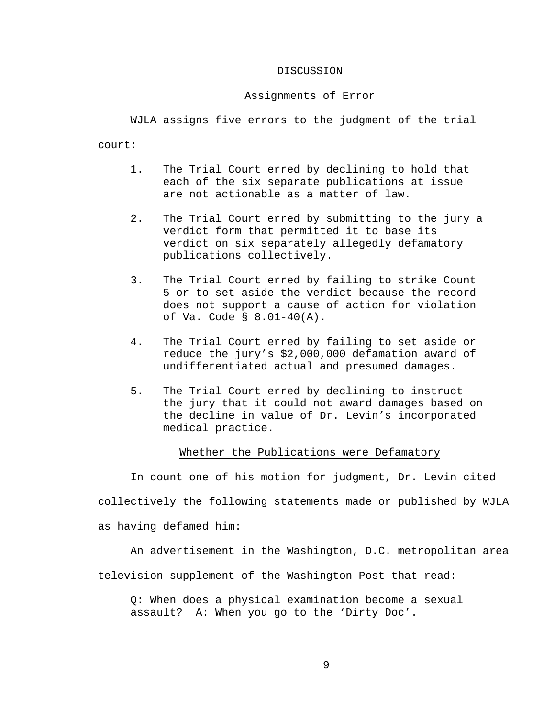#### DISCUSSION

#### Assignments of Error

WJLA assigns five errors to the judgment of the trial

court:

- 1. The Trial Court erred by declining to hold that each of the six separate publications at issue are not actionable as a matter of law.
- 2. The Trial Court erred by submitting to the jury a verdict form that permitted it to base its verdict on six separately allegedly defamatory publications collectively.
- 3. The Trial Court erred by failing to strike Count 5 or to set aside the verdict because the record does not support a cause of action for violation of Va. Code § 8.01-40(A).
- 4. The Trial Court erred by failing to set aside or reduce the jury's \$2,000,000 defamation award of undifferentiated actual and presumed damages.
- 5. The Trial Court erred by declining to instruct the jury that it could not award damages based on the decline in value of Dr. Levin's incorporated medical practice.

### Whether the Publications were Defamatory

In count one of his motion for judgment, Dr. Levin cited collectively the following statements made or published by WJLA as having defamed him:

An advertisement in the Washington, D.C. metropolitan area television supplement of the Washington Post that read:

Q: When does a physical examination become a sexual assault? A: When you go to the 'Dirty Doc'.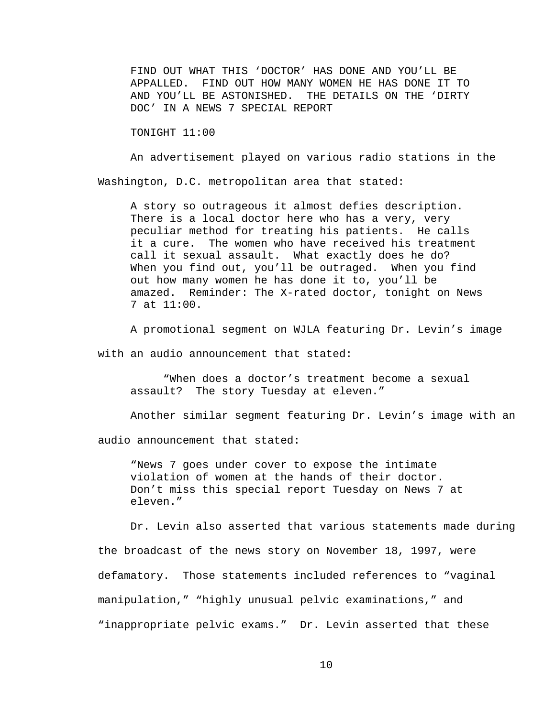FIND OUT WHAT THIS 'DOCTOR' HAS DONE AND YOU'LL BE APPALLED. FIND OUT HOW MANY WOMEN HE HAS DONE IT TO AND YOU'LL BE ASTONISHED. THE DETAILS ON THE 'DIRTY DOC' IN A NEWS 7 SPECIAL REPORT

TONIGHT 11:00

An advertisement played on various radio stations in the

Washington, D.C. metropolitan area that stated:

A story so outrageous it almost defies description. There is a local doctor here who has a very, very peculiar method for treating his patients. He calls it a cure. The women who have received his treatment call it sexual assault. What exactly does he do? When you find out, you'll be outraged. When you find out how many women he has done it to, you'll be amazed. Reminder: The X-rated doctor, tonight on News 7 at 11:00.

A promotional segment on WJLA featuring Dr. Levin's image

with an audio announcement that stated:

"When does a doctor's treatment become a sexual assault? The story Tuesday at eleven."

Another similar segment featuring Dr. Levin's image with an

audio announcement that stated:

"News 7 goes under cover to expose the intimate violation of women at the hands of their doctor. Don't miss this special report Tuesday on News 7 at eleven."

Dr. Levin also asserted that various statements made during the broadcast of the news story on November 18, 1997, were defamatory. Those statements included references to "vaginal manipulation," "highly unusual pelvic examinations," and "inappropriate pelvic exams." Dr. Levin asserted that these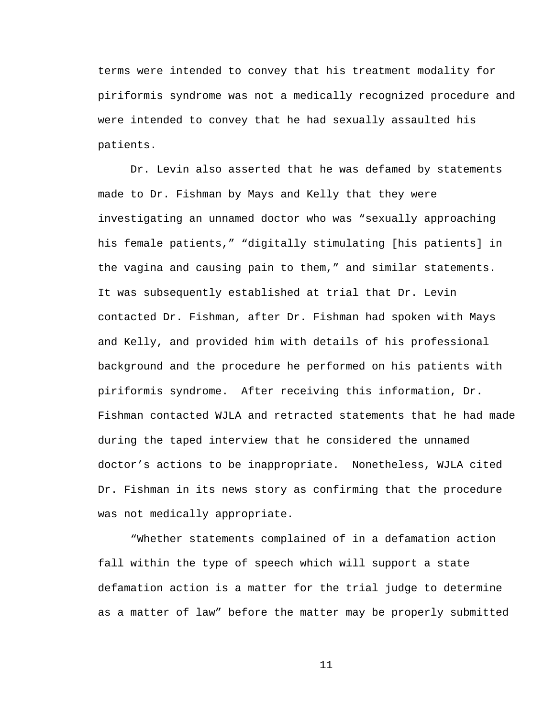terms were intended to convey that his treatment modality for piriformis syndrome was not a medically recognized procedure and were intended to convey that he had sexually assaulted his patients.

Dr. Levin also asserted that he was defamed by statements made to Dr. Fishman by Mays and Kelly that they were investigating an unnamed doctor who was "sexually approaching his female patients," "digitally stimulating [his patients] in the vagina and causing pain to them," and similar statements. It was subsequently established at trial that Dr. Levin contacted Dr. Fishman, after Dr. Fishman had spoken with Mays and Kelly, and provided him with details of his professional background and the procedure he performed on his patients with piriformis syndrome. After receiving this information, Dr. Fishman contacted WJLA and retracted statements that he had made during the taped interview that he considered the unnamed doctor's actions to be inappropriate. Nonetheless, WJLA cited Dr. Fishman in its news story as confirming that the procedure was not medically appropriate.

"Whether statements complained of in a defamation action fall within the type of speech which will support a state defamation action is a matter for the trial judge to determine as a matter of law" before the matter may be properly submitted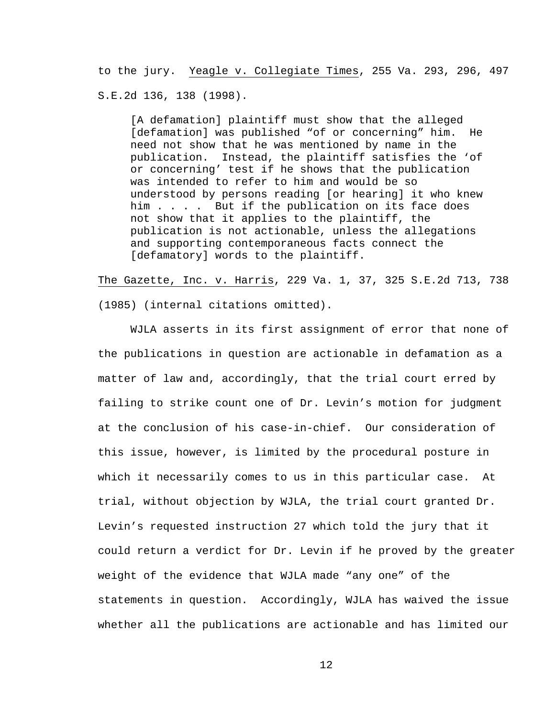to the jury. Yeagle v. Collegiate Times, 255 Va. 293, 296, 497 S.E.2d 136, 138 (1998).

[A defamation] plaintiff must show that the alleged [defamation] was published "of or concerning" him. He need not show that he was mentioned by name in the publication. Instead, the plaintiff satisfies the 'of or concerning' test if he shows that the publication was intended to refer to him and would be so understood by persons reading [or hearing] it who knew him . . . . But if the publication on its face does not show that it applies to the plaintiff, the publication is not actionable, unless the allegations and supporting contemporaneous facts connect the [defamatory] words to the plaintiff.

The Gazette, Inc. v. Harris, 229 Va. 1, 37, 325 S.E.2d 713, 738 (1985) (internal citations omitted).

WJLA asserts in its first assignment of error that none of the publications in question are actionable in defamation as a matter of law and, accordingly, that the trial court erred by failing to strike count one of Dr. Levin's motion for judgment at the conclusion of his case-in-chief. Our consideration of this issue, however, is limited by the procedural posture in which it necessarily comes to us in this particular case. At trial, without objection by WJLA, the trial court granted Dr. Levin's requested instruction 27 which told the jury that it could return a verdict for Dr. Levin if he proved by the greater weight of the evidence that WJLA made "any one" of the statements in question. Accordingly, WJLA has waived the issue whether all the publications are actionable and has limited our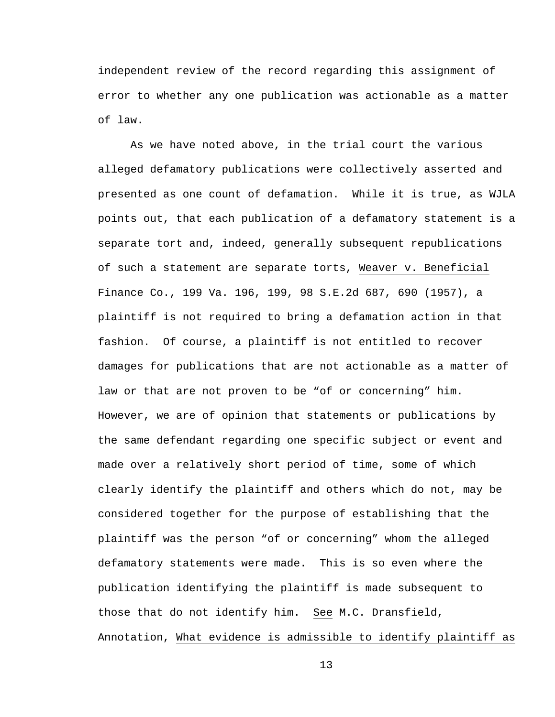independent review of the record regarding this assignment of error to whether any one publication was actionable as a matter of law.

As we have noted above, in the trial court the various alleged defamatory publications were collectively asserted and presented as one count of defamation. While it is true, as WJLA points out, that each publication of a defamatory statement is a separate tort and, indeed, generally subsequent republications of such a statement are separate torts, Weaver v. Beneficial Finance Co., 199 Va. 196, 199, 98 S.E.2d 687, 690 (1957), a plaintiff is not required to bring a defamation action in that fashion. Of course, a plaintiff is not entitled to recover damages for publications that are not actionable as a matter of law or that are not proven to be "of or concerning" him. However, we are of opinion that statements or publications by the same defendant regarding one specific subject or event and made over a relatively short period of time, some of which clearly identify the plaintiff and others which do not, may be considered together for the purpose of establishing that the plaintiff was the person "of or concerning" whom the alleged defamatory statements were made. This is so even where the publication identifying the plaintiff is made subsequent to those that do not identify him. See M.C. Dransfield, Annotation, What evidence is admissible to identify plaintiff as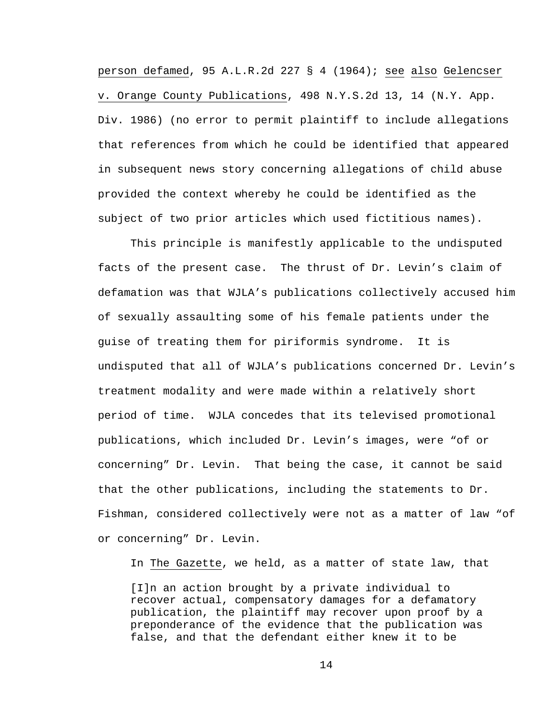person defamed, 95 A.L.R.2d 227 § 4 (1964); see also Gelencser v. Orange County Publications, 498 N.Y.S.2d 13, 14 (N.Y. App. Div. 1986) (no error to permit plaintiff to include allegations that references from which he could be identified that appeared in subsequent news story concerning allegations of child abuse provided the context whereby he could be identified as the subject of two prior articles which used fictitious names).

This principle is manifestly applicable to the undisputed facts of the present case. The thrust of Dr. Levin's claim of defamation was that WJLA's publications collectively accused him of sexually assaulting some of his female patients under the guise of treating them for piriformis syndrome. It is undisputed that all of WJLA's publications concerned Dr. Levin's treatment modality and were made within a relatively short period of time. WJLA concedes that its televised promotional publications, which included Dr. Levin's images, were "of or concerning" Dr. Levin. That being the case, it cannot be said that the other publications, including the statements to Dr. Fishman, considered collectively were not as a matter of law "of or concerning" Dr. Levin.

In The Gazette, we held, as a matter of state law, that

[I]n an action brought by a private individual to recover actual, compensatory damages for a defamatory publication, the plaintiff may recover upon proof by a preponderance of the evidence that the publication was false, and that the defendant either knew it to be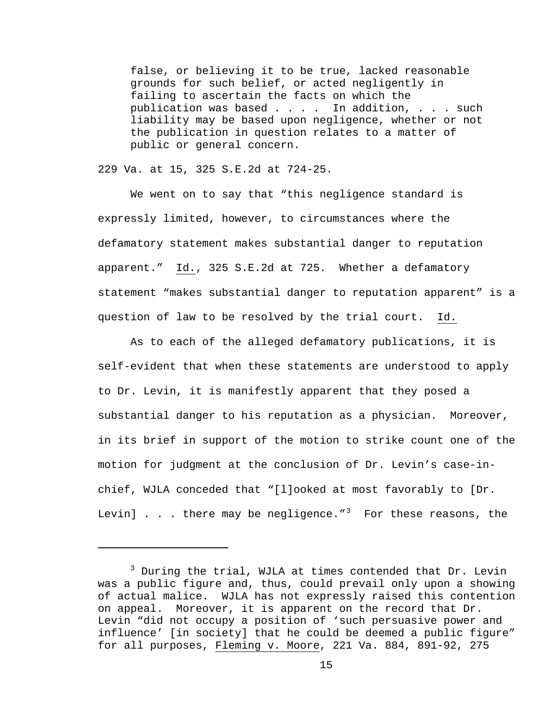false, or believing it to be true, lacked reasonable grounds for such belief, or acted negligently in failing to ascertain the facts on which the publication was based . . . . In addition, . . . such liability may be based upon negligence, whether or not the publication in question relates to a matter of public or general concern.

229 Va. at 15, 325 S.E.2d at 724-25.

i

We went on to say that "this negligence standard is expressly limited, however, to circumstances where the defamatory statement makes substantial danger to reputation apparent." Id., 325 S.E.2d at 725. Whether a defamatory statement "makes substantial danger to reputation apparent" is a question of law to be resolved by the trial court. Id.

As to each of the alleged defamatory publications, it is self-evident that when these statements are understood to apply to Dr. Levin, it is manifestly apparent that they posed a substantial danger to his reputation as a physician. Moreover, in its brief in support of the motion to strike count one of the motion for judgment at the conclusion of Dr. Levin's case-inchief, WJLA conceded that "[l]ooked at most favorably to [Dr. Levin]  $\ldots$  there may be negligence."<sup>[3](#page-14-0)</sup> For these reasons, the

<span id="page-14-0"></span><sup>&</sup>lt;sup>3</sup> During the trial, WJLA at times contended that Dr. Levin was a public figure and, thus, could prevail only upon a showing of actual malice. WJLA has not expressly raised this contention on appeal. Moreover, it is apparent on the record that Dr. Levin "did not occupy a position of 'such persuasive power and influence' [in society] that he could be deemed a public figure" for all purposes, Fleming v. Moore, 221 Va. 884, 891-92, 275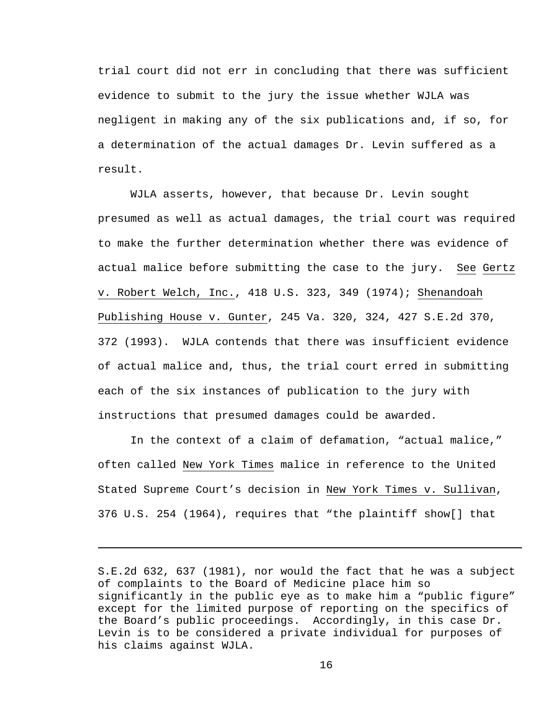trial court did not err in concluding that there was sufficient evidence to submit to the jury the issue whether WJLA was negligent in making any of the six publications and, if so, for a determination of the actual damages Dr. Levin suffered as a result.

WJLA asserts, however, that because Dr. Levin sought presumed as well as actual damages, the trial court was required to make the further determination whether there was evidence of actual malice before submitting the case to the jury. See Gertz v. Robert Welch, Inc., 418 U.S. 323, 349 (1974); Shenandoah Publishing House v. Gunter, 245 Va. 320, 324, 427 S.E.2d 370, 372 (1993). WJLA contends that there was insufficient evidence of actual malice and, thus, the trial court erred in submitting each of the six instances of publication to the jury with instructions that presumed damages could be awarded.

In the context of a claim of defamation, "actual malice," often called New York Times malice in reference to the United Stated Supreme Court's decision in New York Times v. Sullivan, 376 U.S. 254 (1964), requires that "the plaintiff show[] that

i

S.E.2d 632, 637 (1981), nor would the fact that he was a subject of complaints to the Board of Medicine place him so significantly in the public eye as to make him a "public figure" except for the limited purpose of reporting on the specifics of the Board's public proceedings. Accordingly, in this case Dr. Levin is to be considered a private individual for purposes of his claims against WJLA.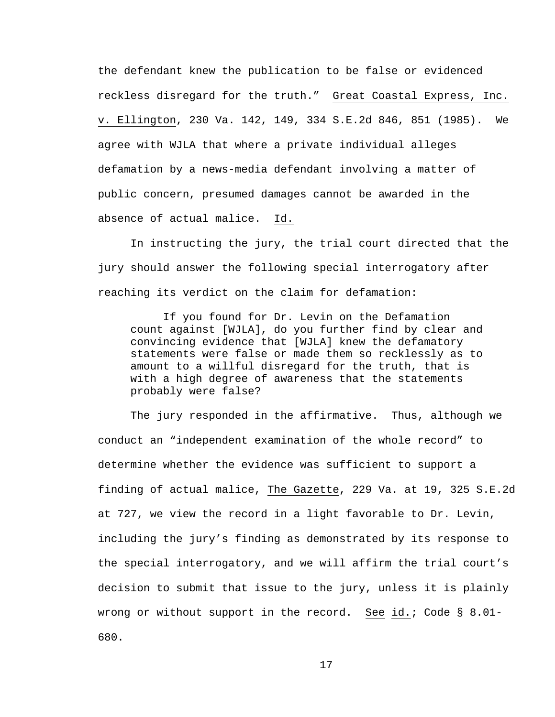the defendant knew the publication to be false or evidenced reckless disregard for the truth." Great Coastal Express, Inc. v. Ellington, 230 Va. 142, 149, 334 S.E.2d 846, 851 (1985). We agree with WJLA that where a private individual alleges defamation by a news-media defendant involving a matter of public concern, presumed damages cannot be awarded in the absence of actual malice. Id.

In instructing the jury, the trial court directed that the jury should answer the following special interrogatory after reaching its verdict on the claim for defamation:

 If you found for Dr. Levin on the Defamation count against [WJLA], do you further find by clear and convincing evidence that [WJLA] knew the defamatory statements were false or made them so recklessly as to amount to a willful disregard for the truth, that is with a high degree of awareness that the statements probably were false?

The jury responded in the affirmative. Thus, although we conduct an "independent examination of the whole record" to determine whether the evidence was sufficient to support a finding of actual malice, The Gazette, 229 Va. at 19, 325 S.E.2d at 727, we view the record in a light favorable to Dr. Levin, including the jury's finding as demonstrated by its response to the special interrogatory, and we will affirm the trial court's decision to submit that issue to the jury, unless it is plainly wrong or without support in the record. See id.; Code § 8.01- 680.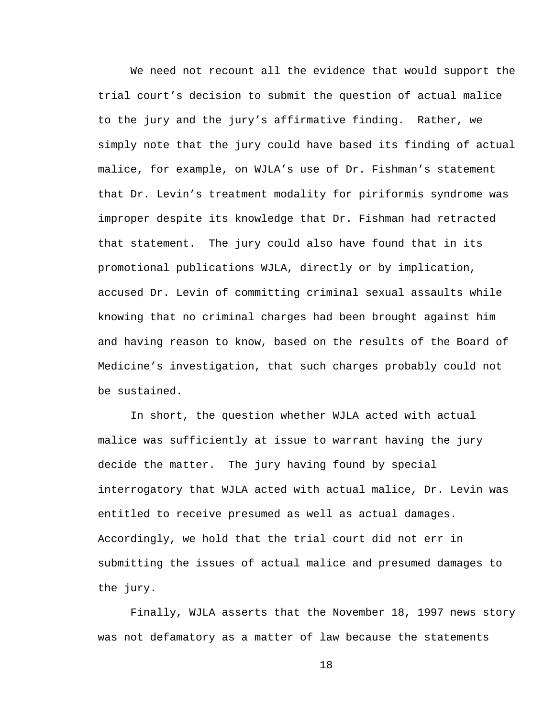We need not recount all the evidence that would support the trial court's decision to submit the question of actual malice to the jury and the jury's affirmative finding. Rather, we simply note that the jury could have based its finding of actual malice, for example, on WJLA's use of Dr. Fishman's statement that Dr. Levin's treatment modality for piriformis syndrome was improper despite its knowledge that Dr. Fishman had retracted that statement. The jury could also have found that in its promotional publications WJLA, directly or by implication, accused Dr. Levin of committing criminal sexual assaults while knowing that no criminal charges had been brought against him and having reason to know, based on the results of the Board of Medicine's investigation, that such charges probably could not be sustained.

In short, the question whether WJLA acted with actual malice was sufficiently at issue to warrant having the jury decide the matter. The jury having found by special interrogatory that WJLA acted with actual malice, Dr. Levin was entitled to receive presumed as well as actual damages. Accordingly, we hold that the trial court did not err in submitting the issues of actual malice and presumed damages to the jury.

Finally, WJLA asserts that the November 18, 1997 news story was not defamatory as a matter of law because the statements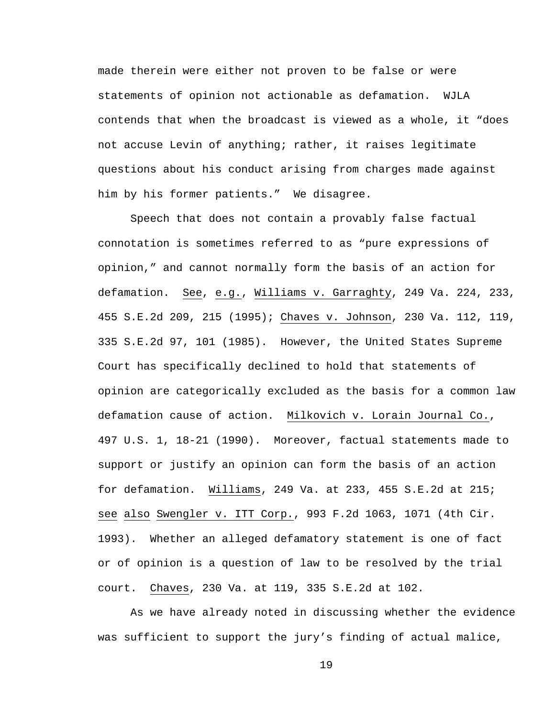made therein were either not proven to be false or were statements of opinion not actionable as defamation. WJLA contends that when the broadcast is viewed as a whole, it "does not accuse Levin of anything; rather, it raises legitimate questions about his conduct arising from charges made against him by his former patients." We disagree.

Speech that does not contain a provably false factual connotation is sometimes referred to as "pure expressions of opinion," and cannot normally form the basis of an action for defamation. See, e.g., Williams v. Garraghty, 249 Va. 224, 233, 455 S.E.2d 209, 215 (1995); Chaves v. Johnson, 230 Va. 112, 119, 335 S.E.2d 97, 101 (1985). However, the United States Supreme Court has specifically declined to hold that statements of opinion are categorically excluded as the basis for a common law defamation cause of action. Milkovich v. Lorain Journal Co., 497 U.S. 1, 18-21 (1990). Moreover, factual statements made to support or justify an opinion can form the basis of an action for defamation. Williams, 249 Va. at 233, 455 S.E.2d at 215; see also Swengler v. ITT Corp., 993 F.2d 1063, 1071 (4th Cir. 1993). Whether an alleged defamatory statement is one of fact or of opinion is a question of law to be resolved by the trial court. Chaves, 230 Va. at 119, 335 S.E.2d at 102.

As we have already noted in discussing whether the evidence was sufficient to support the jury's finding of actual malice,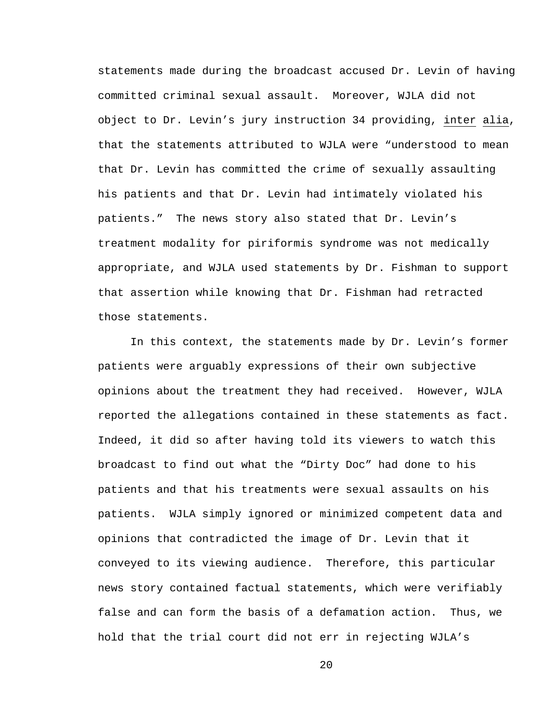statements made during the broadcast accused Dr. Levin of having committed criminal sexual assault. Moreover, WJLA did not object to Dr. Levin's jury instruction 34 providing, inter alia, that the statements attributed to WJLA were "understood to mean that Dr. Levin has committed the crime of sexually assaulting his patients and that Dr. Levin had intimately violated his patients." The news story also stated that Dr. Levin's treatment modality for piriformis syndrome was not medically appropriate, and WJLA used statements by Dr. Fishman to support that assertion while knowing that Dr. Fishman had retracted those statements.

In this context, the statements made by Dr. Levin's former patients were arguably expressions of their own subjective opinions about the treatment they had received. However, WJLA reported the allegations contained in these statements as fact. Indeed, it did so after having told its viewers to watch this broadcast to find out what the "Dirty Doc" had done to his patients and that his treatments were sexual assaults on his patients. WJLA simply ignored or minimized competent data and opinions that contradicted the image of Dr. Levin that it conveyed to its viewing audience. Therefore, this particular news story contained factual statements, which were verifiably false and can form the basis of a defamation action. Thus, we hold that the trial court did not err in rejecting WJLA's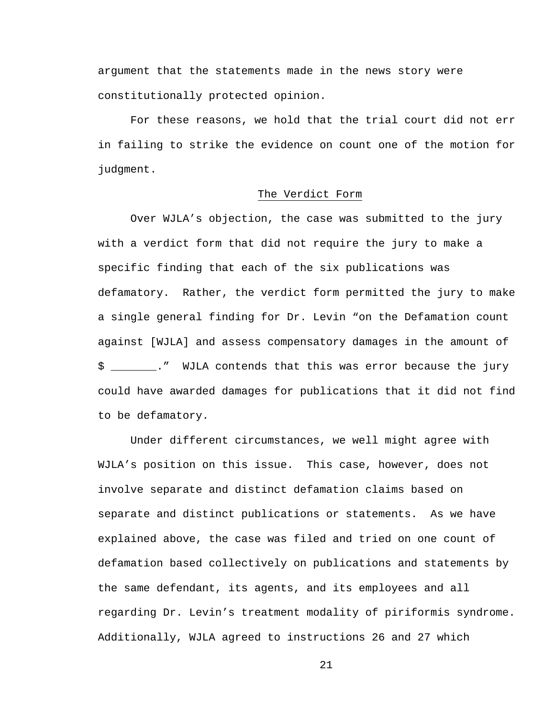argument that the statements made in the news story were constitutionally protected opinion.

For these reasons, we hold that the trial court did not err in failing to strike the evidence on count one of the motion for judgment.

## The Verdict Form

Over WJLA's objection, the case was submitted to the jury with a verdict form that did not require the jury to make a specific finding that each of the six publications was defamatory. Rather, the verdict form permitted the jury to make a single general finding for Dr. Levin "on the Defamation count against [WJLA] and assess compensatory damages in the amount of \$ \_\_\_\_\_\_\_." WJLA contends that this was error because the jury could have awarded damages for publications that it did not find to be defamatory.

Under different circumstances, we well might agree with WJLA's position on this issue. This case, however, does not involve separate and distinct defamation claims based on separate and distinct publications or statements. As we have explained above, the case was filed and tried on one count of defamation based collectively on publications and statements by the same defendant, its agents, and its employees and all regarding Dr. Levin's treatment modality of piriformis syndrome. Additionally, WJLA agreed to instructions 26 and 27 which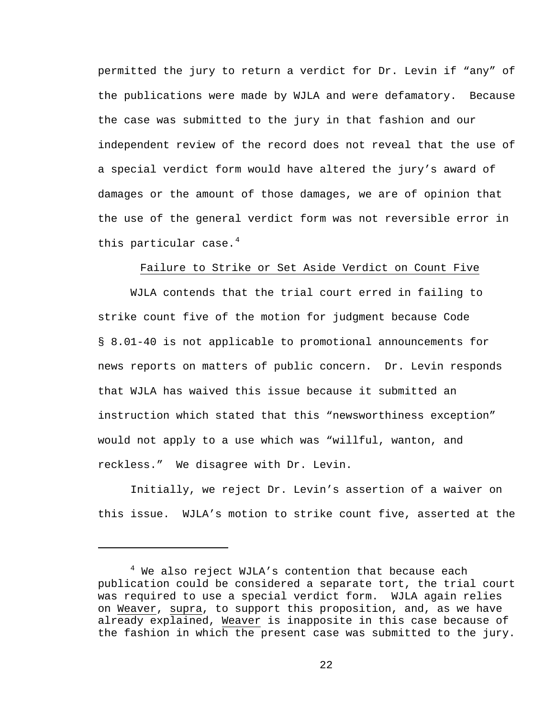permitted the jury to return a verdict for Dr. Levin if "any" of the publications were made by WJLA and were defamatory. Because the case was submitted to the jury in that fashion and our independent review of the record does not reveal that the use of a special verdict form would have altered the jury's award of damages or the amount of those damages, we are of opinion that the use of the general verdict form was not reversible error in this particular case. $4$ 

# Failure to Strike or Set Aside Verdict on Count Five

WJLA contends that the trial court erred in failing to strike count five of the motion for judgment because Code § 8.01-40 is not applicable to promotional announcements for news reports on matters of public concern. Dr. Levin responds that WJLA has waived this issue because it submitted an instruction which stated that this "newsworthiness exception" would not apply to a use which was "willful, wanton, and reckless." We disagree with Dr. Levin.

Initially, we reject Dr. Levin's assertion of a waiver on this issue. WJLA's motion to strike count five, asserted at the

i

<span id="page-21-0"></span> $^4$  We also reject WJLA's contention that because each publication could be considered a separate tort, the trial court was required to use a special verdict form. WJLA again relies on Weaver, supra, to support this proposition, and, as we have already explained, Weaver is inapposite in this case because of the fashion in which the present case was submitted to the jury.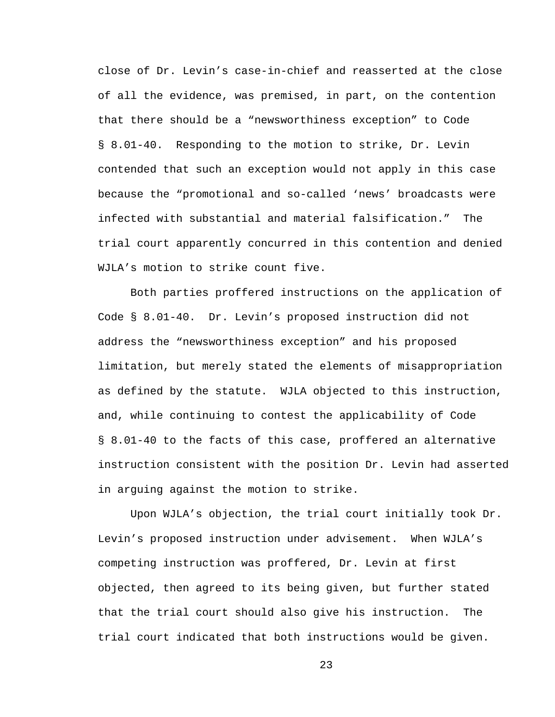close of Dr. Levin's case-in-chief and reasserted at the close of all the evidence, was premised, in part, on the contention that there should be a "newsworthiness exception" to Code § 8.01-40. Responding to the motion to strike, Dr. Levin contended that such an exception would not apply in this case because the "promotional and so-called 'news' broadcasts were infected with substantial and material falsification." The trial court apparently concurred in this contention and denied WJLA's motion to strike count five.

Both parties proffered instructions on the application of Code § 8.01-40. Dr. Levin's proposed instruction did not address the "newsworthiness exception" and his proposed limitation, but merely stated the elements of misappropriation as defined by the statute. WJLA objected to this instruction, and, while continuing to contest the applicability of Code § 8.01-40 to the facts of this case, proffered an alternative instruction consistent with the position Dr. Levin had asserted in arguing against the motion to strike.

Upon WJLA's objection, the trial court initially took Dr. Levin's proposed instruction under advisement. When WJLA's competing instruction was proffered, Dr. Levin at first objected, then agreed to its being given, but further stated that the trial court should also give his instruction. The trial court indicated that both instructions would be given.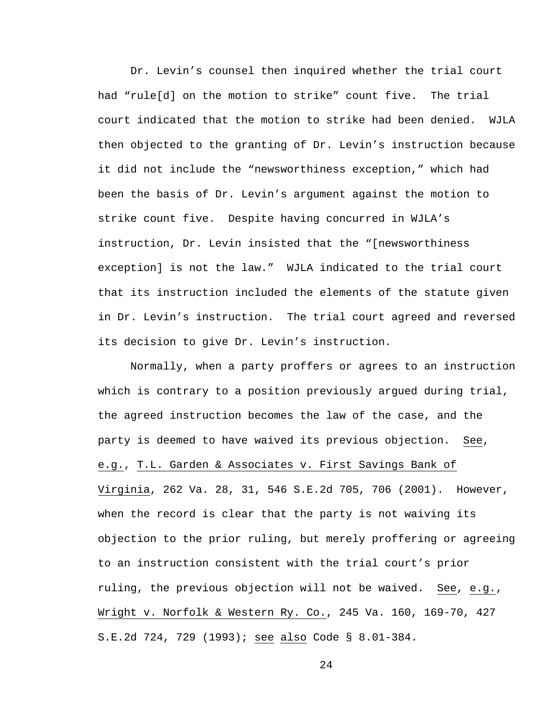Dr. Levin's counsel then inquired whether the trial court had "rule[d] on the motion to strike" count five. The trial court indicated that the motion to strike had been denied. WJLA then objected to the granting of Dr. Levin's instruction because it did not include the "newsworthiness exception," which had been the basis of Dr. Levin's argument against the motion to strike count five. Despite having concurred in WJLA's instruction, Dr. Levin insisted that the "[newsworthiness exception] is not the law." WJLA indicated to the trial court that its instruction included the elements of the statute given in Dr. Levin's instruction. The trial court agreed and reversed its decision to give Dr. Levin's instruction.

Normally, when a party proffers or agrees to an instruction which is contrary to a position previously argued during trial, the agreed instruction becomes the law of the case, and the party is deemed to have waived its previous objection. See, e.g., T.L. Garden & Associates v. First Savings Bank of Virginia, 262 Va. 28, 31, 546 S.E.2d 705, 706 (2001). However, when the record is clear that the party is not waiving its objection to the prior ruling, but merely proffering or agreeing to an instruction consistent with the trial court's prior ruling, the previous objection will not be waived. See, e.g., Wright v. Norfolk & Western Ry. Co., 245 Va. 160, 169-70, 427 S.E.2d 724, 729 (1993); see also Code § 8.01-384.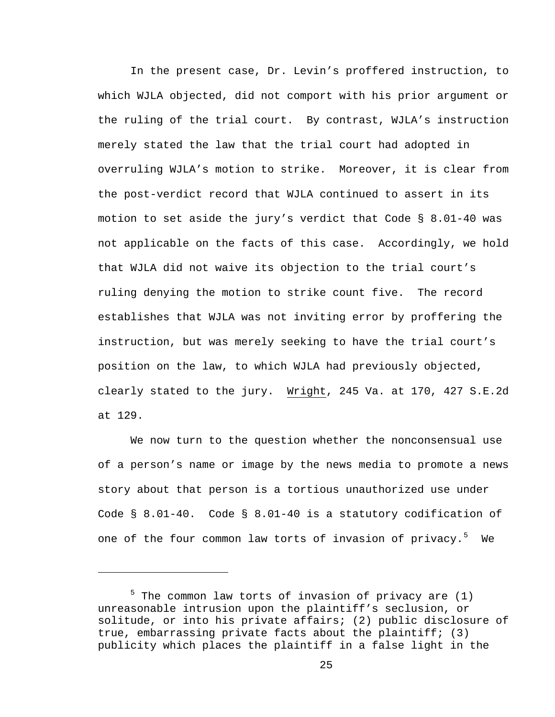In the present case, Dr. Levin's proffered instruction, to which WJLA objected, did not comport with his prior argument or the ruling of the trial court. By contrast, WJLA's instruction merely stated the law that the trial court had adopted in overruling WJLA's motion to strike. Moreover, it is clear from the post-verdict record that WJLA continued to assert in its motion to set aside the jury's verdict that Code § 8.01-40 was not applicable on the facts of this case. Accordingly, we hold that WJLA did not waive its objection to the trial court's ruling denying the motion to strike count five. The record establishes that WJLA was not inviting error by proffering the instruction, but was merely seeking to have the trial court's position on the law, to which WJLA had previously objected, clearly stated to the jury. Wright, 245 Va. at 170, 427 S.E.2d at 129.

We now turn to the question whether the nonconsensual use of a person's name or image by the news media to promote a news story about that person is a tortious unauthorized use under Code  $\S$  8.01-40. Code  $\S$  8.01-40 is a statutory codification of one of the four common law torts of invasion of privacy.<sup>[5](#page-24-0)</sup> We

i<br>Li

<span id="page-24-0"></span><sup>&</sup>lt;sup>5</sup> The common law torts of invasion of privacy are (1) unreasonable intrusion upon the plaintiff's seclusion, or solitude, or into his private affairs; (2) public disclosure of true, embarrassing private facts about the plaintiff; (3) publicity which places the plaintiff in a false light in the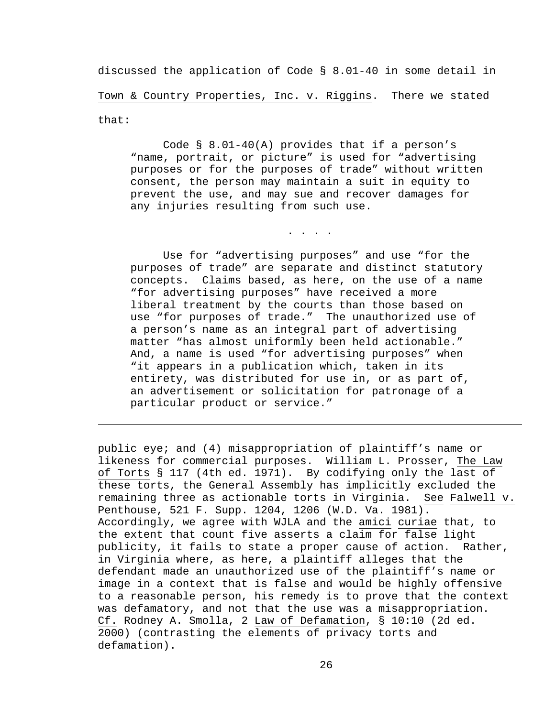discussed the application of Code § 8.01-40 in some detail in Town & Country Properties, Inc. v. Riggins. There we stated that:

 Code § 8.01-40(A) provides that if a person's "name, portrait, or picture" is used for "advertising purposes or for the purposes of trade" without written consent, the person may maintain a suit in equity to prevent the use, and may sue and recover damages for any injuries resulting from such use.

. . . .

 Use for "advertising purposes" and use "for the purposes of trade" are separate and distinct statutory concepts. Claims based, as here, on the use of a name "for advertising purposes" have received a more liberal treatment by the courts than those based on use "for purposes of trade." The unauthorized use of a person's name as an integral part of advertising matter "has almost uniformly been held actionable." And, a name is used "for advertising purposes" when "it appears in a publication which, taken in its entirety, was distributed for use in, or as part of, an advertisement or solicitation for patronage of a particular product or service."

i<br>Li

public eye; and (4) misappropriation of plaintiff's name or likeness for commercial purposes. William L. Prosser, The Law of Torts § 117 (4th ed. 1971). By codifying only the last of these torts, the General Assembly has implicitly excluded the remaining three as actionable torts in Virginia. See Falwell v. Penthouse, 521 F. Supp. 1204, 1206 (W.D. Va. 1981). Accordingly, we agree with WJLA and the amici curiae that, to the extent that count five asserts a claim for false light publicity, it fails to state a proper cause of action. Rather, in Virginia where, as here, a plaintiff alleges that the defendant made an unauthorized use of the plaintiff's name or image in a context that is false and would be highly offensive to a reasonable person, his remedy is to prove that the context was defamatory, and not that the use was a misappropriation. Cf. Rodney A. Smolla, 2 Law of Defamation, § 10:10 (2d ed. 2000) (contrasting the elements of privacy torts and defamation).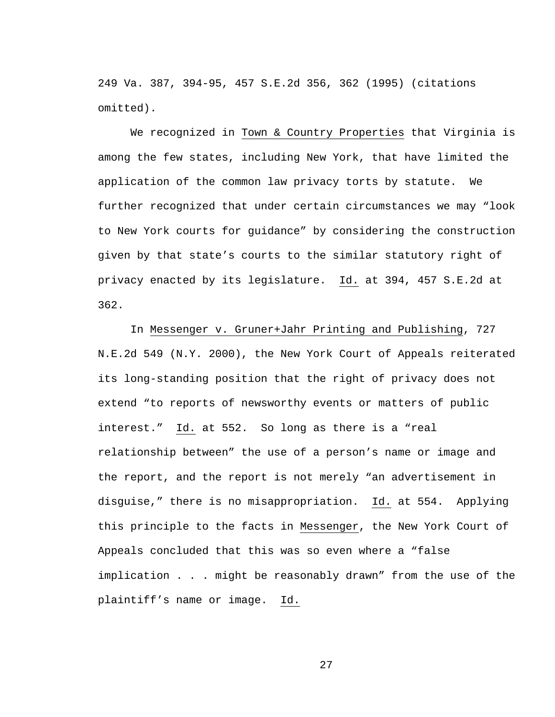249 Va. 387, 394-95, 457 S.E.2d 356, 362 (1995) (citations omitted).

We recognized in Town & Country Properties that Virginia is among the few states, including New York, that have limited the application of the common law privacy torts by statute. We further recognized that under certain circumstances we may "look to New York courts for guidance" by considering the construction given by that state's courts to the similar statutory right of privacy enacted by its legislature. Id. at 394, 457 S.E.2d at 362.

In Messenger v. Gruner+Jahr Printing and Publishing, 727 N.E.2d 549 (N.Y. 2000), the New York Court of Appeals reiterated its long-standing position that the right of privacy does not extend "to reports of newsworthy events or matters of public interest." Id. at 552. So long as there is a "real relationship between" the use of a person's name or image and the report, and the report is not merely "an advertisement in disguise," there is no misappropriation. Id. at 554. Applying this principle to the facts in Messenger, the New York Court of Appeals concluded that this was so even where a "false implication . . . might be reasonably drawn" from the use of the plaintiff's name or image. Id.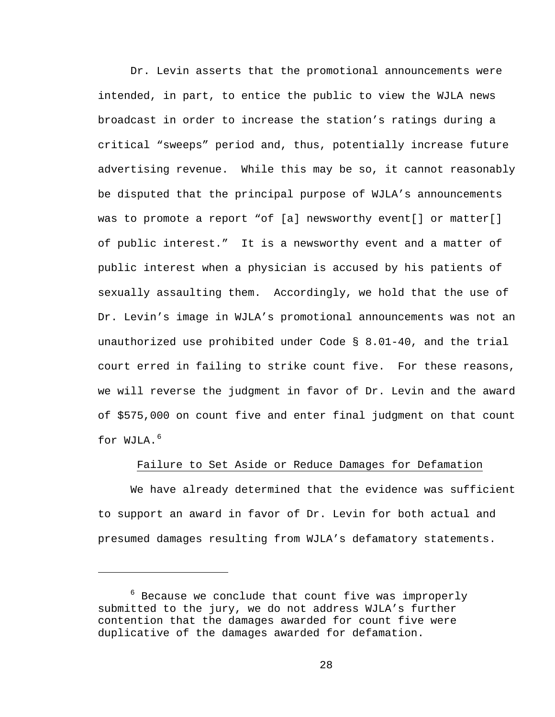Dr. Levin asserts that the promotional announcements were intended, in part, to entice the public to view the WJLA news broadcast in order to increase the station's ratings during a critical "sweeps" period and, thus, potentially increase future advertising revenue. While this may be so, it cannot reasonably be disputed that the principal purpose of WJLA's announcements was to promote a report "of [a] newsworthy event[] or matter[] of public interest." It is a newsworthy event and a matter of public interest when a physician is accused by his patients of sexually assaulting them. Accordingly, we hold that the use of Dr. Levin's image in WJLA's promotional announcements was not an unauthorized use prohibited under Code § 8.01-40, and the trial court erred in failing to strike count five. For these reasons, we will reverse the judgment in favor of Dr. Levin and the award of \$575,000 on count five and enter final judgment on that count for  $WJLA$ .<sup>[6](#page-27-0)</sup>

### Failure to Set Aside or Reduce Damages for Defamation

We have already determined that the evidence was sufficient to support an award in favor of Dr. Levin for both actual and presumed damages resulting from WJLA's defamatory statements.

 $\overline{\phantom{0}}$ 

<span id="page-27-0"></span> $6$  Because we conclude that count five was improperly submitted to the jury, we do not address WJLA's further contention that the damages awarded for count five were duplicative of the damages awarded for defamation.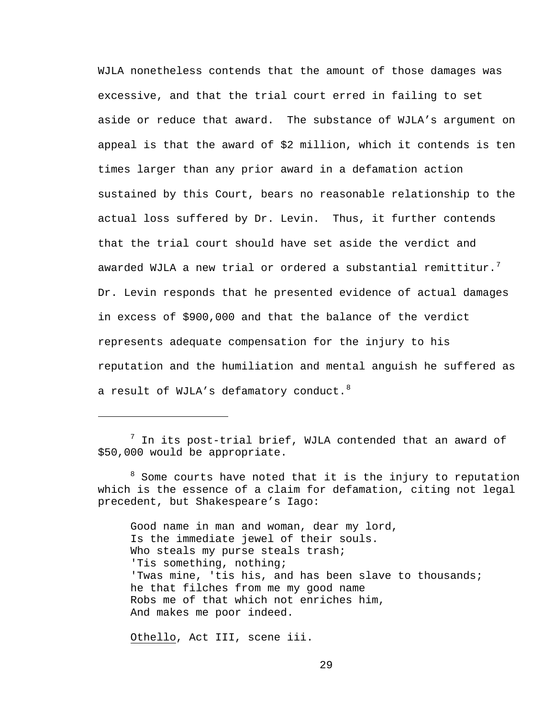WJLA nonetheless contends that the amount of those damages was excessive, and that the trial court erred in failing to set aside or reduce that award. The substance of WJLA's argument on appeal is that the award of \$2 million, which it contends is ten times larger than any prior award in a defamation action sustained by this Court, bears no reasonable relationship to the actual loss suffered by Dr. Levin. Thus, it further contends that the trial court should have set aside the verdict and awarded WJLA a new trial or ordered a substantial remittitur. $^7$  $^7$ Dr. Levin responds that he presented evidence of actual damages in excess of \$900,000 and that the balance of the verdict represents adequate compensation for the injury to his reputation and the humiliation and mental anguish he suffered as a result of WJLA's defamatory conduct.  $8$ 

Good name in man and woman, dear my lord, Is the immediate jewel of their souls. Who steals my purse steals trash; 'Tis something, nothing; 'Twas mine, 'tis his, and has been slave to thousands; he that filches from me my good name Robs me of that which not enriches him, And makes me poor indeed.

Othello, Act III, scene iii.

i

<span id="page-28-0"></span> $^7$  In its post-trial brief, WJLA contended that an award of \$50,000 would be appropriate.

<span id="page-28-1"></span><sup>&</sup>lt;sup>8</sup> Some courts have noted that it is the injury to reputation which is the essence of a claim for defamation, citing not legal precedent, but Shakespeare's Iago: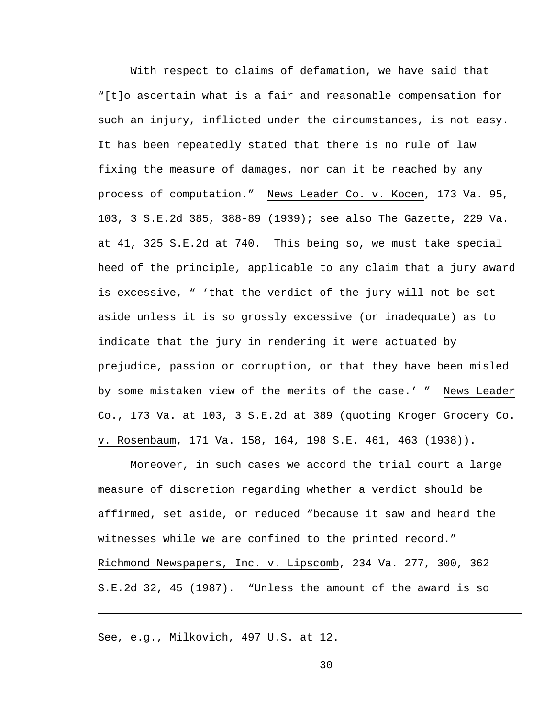With respect to claims of defamation, we have said that "[t]o ascertain what is a fair and reasonable compensation for such an injury, inflicted under the circumstances, is not easy. It has been repeatedly stated that there is no rule of law fixing the measure of damages, nor can it be reached by any process of computation." News Leader Co. v. Kocen, 173 Va. 95, 103, 3 S.E.2d 385, 388-89 (1939); see also The Gazette, 229 Va. at 41, 325 S.E.2d at 740. This being so, we must take special heed of the principle, applicable to any claim that a jury award is excessive, " 'that the verdict of the jury will not be set aside unless it is so grossly excessive (or inadequate) as to indicate that the jury in rendering it were actuated by prejudice, passion or corruption, or that they have been misled by some mistaken view of the merits of the case.' " News Leader Co., 173 Va. at 103, 3 S.E.2d at 389 (quoting Kroger Grocery Co. v. Rosenbaum, 171 Va. 158, 164, 198 S.E. 461, 463 (1938)).

Moreover, in such cases we accord the trial court a large measure of discretion regarding whether a verdict should be affirmed, set aside, or reduced "because it saw and heard the witnesses while we are confined to the printed record." Richmond Newspapers, Inc. v. Lipscomb, 234 Va. 277, 300, 362 S.E.2d 32, 45 (1987). "Unless the amount of the award is so

See, e.g., Milkovich, 497 U.S. at 12.

i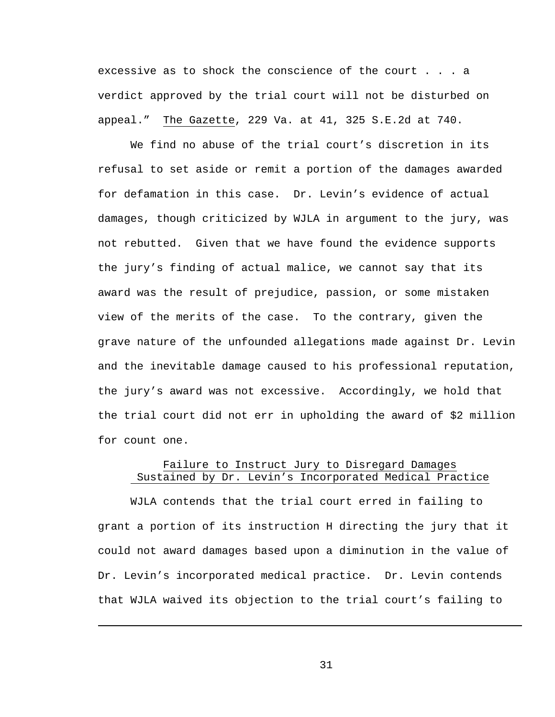excessive as to shock the conscience of the court . . . a verdict approved by the trial court will not be disturbed on appeal." The Gazette, 229 Va. at 41, 325 S.E.2d at 740.

We find no abuse of the trial court's discretion in its refusal to set aside or remit a portion of the damages awarded for defamation in this case. Dr. Levin's evidence of actual damages, though criticized by WJLA in argument to the jury, was not rebutted. Given that we have found the evidence supports the jury's finding of actual malice, we cannot say that its award was the result of prejudice, passion, or some mistaken view of the merits of the case. To the contrary, given the grave nature of the unfounded allegations made against Dr. Levin and the inevitable damage caused to his professional reputation, the jury's award was not excessive. Accordingly, we hold that the trial court did not err in upholding the award of \$2 million for count one.

# Failure to Instruct Jury to Disregard Damages Sustained by Dr. Levin's Incorporated Medical Practice

WJLA contends that the trial court erred in failing to grant a portion of its instruction H directing the jury that it could not award damages based upon a diminution in the value of Dr. Levin's incorporated medical practice. Dr. Levin contends that WJLA waived its objection to the trial court's failing to

i<br>Li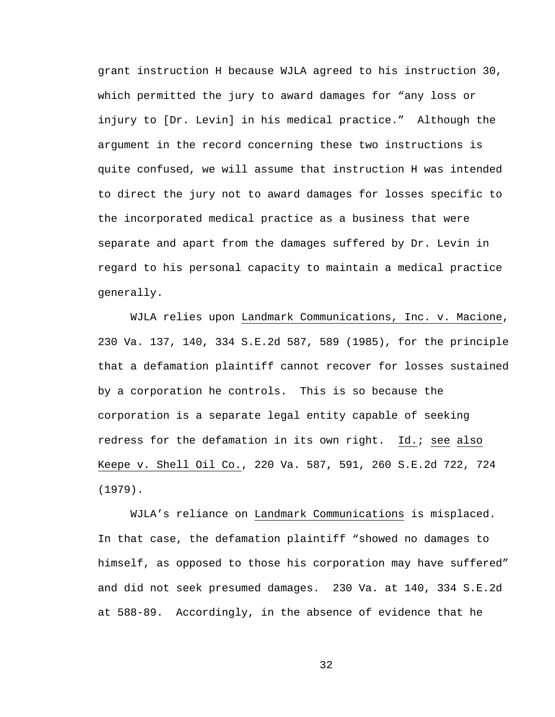grant instruction H because WJLA agreed to his instruction 30, which permitted the jury to award damages for "any loss or injury to [Dr. Levin] in his medical practice." Although the argument in the record concerning these two instructions is quite confused, we will assume that instruction H was intended to direct the jury not to award damages for losses specific to the incorporated medical practice as a business that were separate and apart from the damages suffered by Dr. Levin in regard to his personal capacity to maintain a medical practice generally.

WJLA relies upon Landmark Communications, Inc. v. Macione, 230 Va. 137, 140, 334 S.E.2d 587, 589 (1985), for the principle that a defamation plaintiff cannot recover for losses sustained by a corporation he controls. This is so because the corporation is a separate legal entity capable of seeking redress for the defamation in its own right. Id.; see also Keepe v. Shell Oil Co., 220 Va. 587, 591, 260 S.E.2d 722, 724 (1979).

WJLA's reliance on Landmark Communications is misplaced. In that case, the defamation plaintiff "showed no damages to himself, as opposed to those his corporation may have suffered" and did not seek presumed damages. 230 Va. at 140, 334 S.E.2d at 588-89. Accordingly, in the absence of evidence that he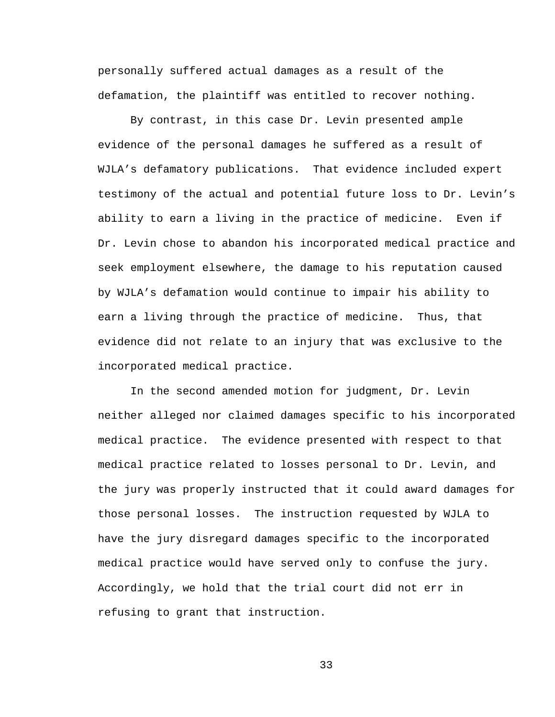personally suffered actual damages as a result of the defamation, the plaintiff was entitled to recover nothing.

By contrast, in this case Dr. Levin presented ample evidence of the personal damages he suffered as a result of WJLA's defamatory publications. That evidence included expert testimony of the actual and potential future loss to Dr. Levin's ability to earn a living in the practice of medicine. Even if Dr. Levin chose to abandon his incorporated medical practice and seek employment elsewhere, the damage to his reputation caused by WJLA's defamation would continue to impair his ability to earn a living through the practice of medicine. Thus, that evidence did not relate to an injury that was exclusive to the incorporated medical practice.

In the second amended motion for judgment, Dr. Levin neither alleged nor claimed damages specific to his incorporated medical practice. The evidence presented with respect to that medical practice related to losses personal to Dr. Levin, and the jury was properly instructed that it could award damages for those personal losses. The instruction requested by WJLA to have the jury disregard damages specific to the incorporated medical practice would have served only to confuse the jury. Accordingly, we hold that the trial court did not err in refusing to grant that instruction.